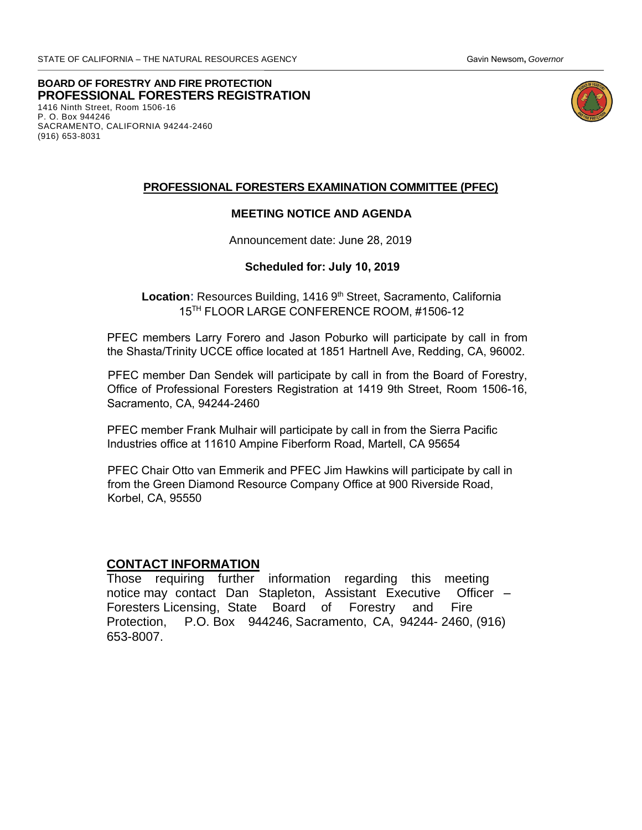**BOARD OF FORESTRY AND FIRE PROTECTION**  1416 Ninth Street, Room 1506-16 P. O. Box 944246 SACRAMENTO, CALIFORNIA 94244-2460 (916) 653-8031 **PROFESSIONAL FORESTERS REGISTRATION** 



#### **PROFESSIONAL FORESTERS EXAMINATION COMMITTEE (PFEC)**

### **MEETING NOTICE AND AGENDA**

Announcement date: June 28, 2019

#### **Scheduled for: July 10, 2019**

Location: Resources Building, 1416 9<sup>th</sup> Street, Sacramento, California 15<sup>TH</sup> FLOOR LARGE CONFERENCE ROOM, #1506-12

 the Shasta/Trinity UCCE office located at 1851 Hartnell Ave, Redding, CA, 96002. PFEC members Larry Forero and Jason Poburko will participate by call in from

PFEC member Dan Sendek will participate by call in from the Board of Forestry, Office of Professional Foresters Registration at 1419 9th Street, Room 1506-16, Sacramento, CA, 94244-2460

PFEC member Frank Mulhair will participate by call in from the Sierra Pacific Industries office at 11610 Ampine Fiberform Road, Martell, CA 95654

PFEC Chair Otto van Emmerik and PFEC Jim Hawkins will participate by call in from the Green Diamond Resource Company Office at 900 Riverside Road, Korbel, CA, 95550

#### **CONTACT INFORMATION**

Those requi[ring further information](http://www.bof.fire.ca.gov/) regarding this meeting notice may contact Dan Stapleton, Assistant Executive Officer – Foresters Licensing, State Board of Forestry and Fire Protection, P.O. Box 944246, Sacramento, CA, 94244- 2460, (916) 653-8007.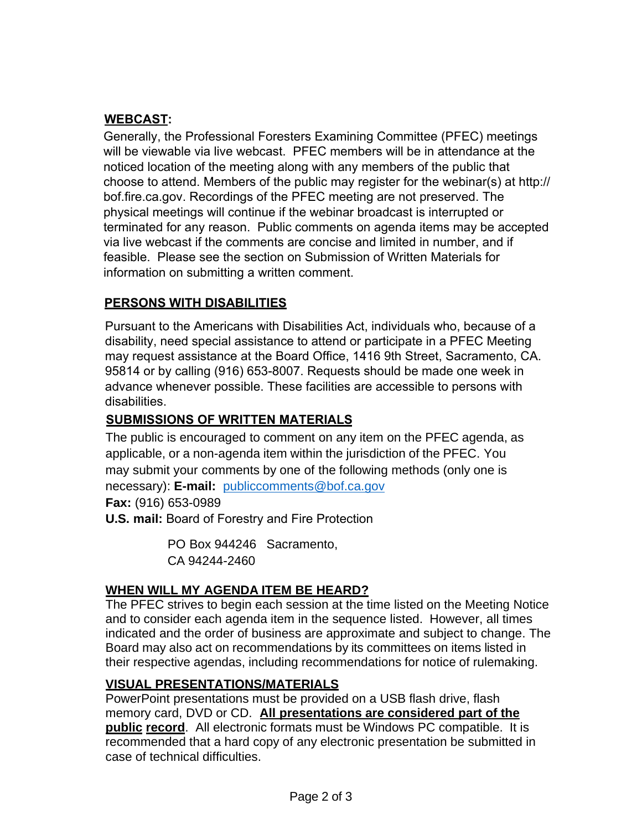# **WEBCAST:**

Generall[y, the Professional Foresters E](mailto:publiccomments@bof.ca.gov)xamining Committee (PFEC) meetings will be viewable via live webcast. PFEC members will be in attendance at the noticed location of the meeting along with any members of the public that choose to attend. Members of the public may register for the webinar(s) at http:// bof.fire.ca.gov. Recordings of the PFEC meeting are not preserved. The physical meetings will continue if the webinar broadcast is interrupted or terminated for any reason. Public comments on agenda items may be accepted via live webcast if the comments are concise and limited in number, and if feasible. Please see the section on Submission of Written Materials for information on submitting a written comment.

# **PERSONS WITH DISABILITIES**

Pursuant to the Americans with Disabilities Act, individuals who, because of a disability, need special assistance to attend or participate in a PFEC Meeting may request assistance at the Board Office, 1416 9th Street, Sacramento, CA. 95814 or by calling (916) 653-8007. Requests should be made one week in advance whenever possible. These facilities are accessible to persons with disabilities.

# **SUBMISSIONS OF WRITTEN MATERIALS**

The public is encouraged to comment on any item on the PFEC agenda, as applicable, or a non-agenda item within the jurisdiction of the PFEC. You may submit your comments by one of the following methods (only one is necessary): **E-mail:** publiccomments@bof.ca.gov

**Fax:** (916) 653-0989

**U.S. mail:** Board of Forestry and Fire Protection

 PO Box 944246 Sacramento, CA 94244-2460

# **WHEN WILL MY AGENDA ITEM BE HEARD?**

The PFEC strives to begin each session at the time listed on the Meeting Notice and to consider each agenda item in the sequence listed. However, all times indicated and the order of business are approximate and subject to change. The Board may also act on recommendations by its committees on items listed in their respective agendas, including recommendations for notice of rulemaking.

# **VISUAL PRESENTATIONS/MATERIALS**

PowerPoint presentations must be provided on a USB flash drive, flash memory card, DVD or CD. **All presentations are considered part of the public record**. All electronic formats must be Windows PC compatible. It is recommended that a hard copy of any electronic presentation be submitted in case of technical difficulties.